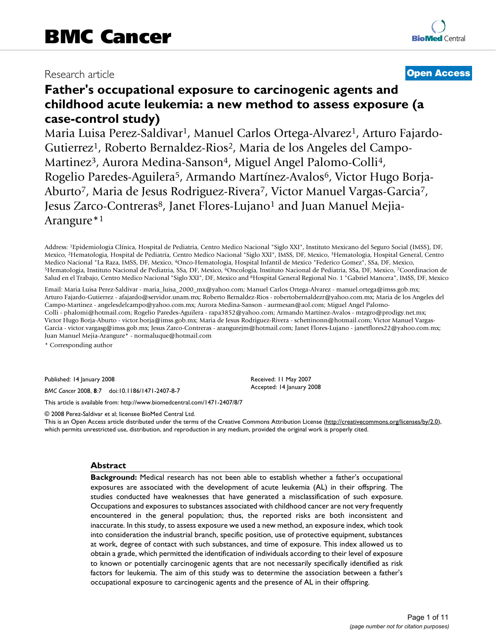# Research article **[Open Access](http://www.biomedcentral.com/info/about/charter/)**

# **Father's occupational exposure to carcinogenic agents and childhood acute leukemia: a new method to assess exposure (a case-control study)**

Maria Luisa Perez-Saldivar<sup>1</sup>, Manuel Carlos Ortega-Alvarez<sup>1</sup>, Arturo Fajardo-Gutierrez<sup>1</sup>, Roberto Bernaldez-Rios<sup>2</sup>, Maria de los Angeles del Campo-Martinez<sup>3</sup>, Aurora Medina-Sanson<sup>4</sup>, Miguel Angel Palomo-Colli<sup>4</sup>, Rogelio Paredes-Aguilera<sup>5</sup>, Armando Martínez-Avalos<sup>6</sup>, Victor Hugo Borja-Aburto7, Maria de Jesus Rodriguez-Rivera7, Victor Manuel Vargas-Garcia7, Jesus Zarco-Contreras<sup>8</sup>, Janet Flores-Lujano<sup>1</sup> and Juan Manuel Mejia-Arangure\*1

Address: 1Epidemiologia Clínica, Hospital de Pediatria, Centro Medico Nacional "Siglo XXI", Instituto Mexicano del Seguro Social (IMSS), DF, Mexico, 2Hematologia, Hospital de Pediatría, Centro Medico Nacional "Siglo XXI", IMSS, DF, Mexico, 3Hematologia, Hospital General, Centro Medico Nacional "La Raza, IMSS, DF, Mexico, <sup>4</sup>Onco-Hematologia, Hospital Infantil de Mexico "Federico Gomez", SSa, DF, Mexico, 1996, 1997, Mexico, 1997, Mexico, 1997, Mexico, 1998, DF, Mexico, 1998, DF, Mexico, 1999, 1999 Salud en el Trabajo, Centro Medico Nacional "Siglo XXI", DF, Mexico and 8Hospital General Regional No. 1 "Gabriel Mancera", IMSS, DF, Mexico

Email: Maria Luisa Perez-Saldivar - maria\_luisa\_2000\_mx@yahoo.com; Manuel Carlos Ortega-Alvarez - manuel.ortega@imss.gob.mx; Arturo Fajardo-Gutierrez - afajardo@servidor.unam.mx; Roberto Bernaldez-Rios - robertobernaldezr@yahoo.com.mx; Maria de los Angeles del Campo-Martinez - angelesdelcampo@yahoo.com.mx; Aurora Medina-Sanson - aurmesan@aol.com; Miguel Angel Palomo-Colli - phalomi@hotmail.com; Rogelio Paredes-Aguilera - rapa3852@yahoo.com; Armando Martínez-Avalos - mtzgro@prodigy.net.mx; Victor Hugo Borja-Aburto - victor.borja@imss.gob.mx; Maria de Jesus Rodriguez-Rivera - schettinonn@hotmail.com; Victor Manuel Vargas-Garcia - victor.vargasg@imss.gob.mx; Jesus Zarco-Contreras - arangurejm@hotmail.com; Janet Flores-Lujano - janetflores22@yahoo.com.mx; Juan Manuel Mejia-Arangure\* - normaluque@hotmail.com

\* Corresponding author

Published: 14 January 2008

*BMC Cancer* 2008, **8**:7 doi:10.1186/1471-2407-8-7

[This article is available from: http://www.biomedcentral.com/1471-2407/8/7](http://www.biomedcentral.com/1471-2407/8/7)

© 2008 Perez-Saldivar et al; licensee BioMed Central Ltd.

This is an Open Access article distributed under the terms of the Creative Commons Attribution License [\(http://creativecommons.org/licenses/by/2.0\)](http://creativecommons.org/licenses/by/2.0), which permits unrestricted use, distribution, and reproduction in any medium, provided the original work is properly cited.

Received: 11 May 2007 Accepted: 14 January 2008

#### **Abstract**

**Background:** Medical research has not been able to establish whether a father's occupational exposures are associated with the development of acute leukemia (AL) in their offspring. The studies conducted have weaknesses that have generated a misclassification of such exposure. Occupations and exposures to substances associated with childhood cancer are not very frequently encountered in the general population; thus, the reported risks are both inconsistent and inaccurate. In this study, to assess exposure we used a new method, an exposure index, which took into consideration the industrial branch, specific position, use of protective equipment, substances at work, degree of contact with such substances, and time of exposure. This index allowed us to obtain a grade, which permitted the identification of individuals according to their level of exposure to known or potentially carcinogenic agents that are not necessarily specifically identified as risk factors for leukemia. The aim of this study was to determine the association between a father's occupational exposure to carcinogenic agents and the presence of AL in their offspring.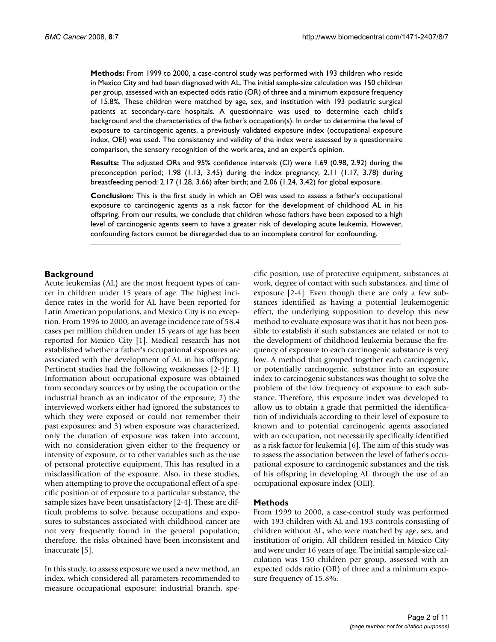**Methods:** From 1999 to 2000, a case-control study was performed with 193 children who reside in Mexico City and had been diagnosed with AL. The initial sample-size calculation was 150 children per group, assessed with an expected odds ratio (OR) of three and a minimum exposure frequency of 15.8%. These children were matched by age, sex, and institution with 193 pediatric surgical patients at secondary-care hospitals. A questionnaire was used to determine each child's background and the characteristics of the father's occupation(s). In order to determine the level of exposure to carcinogenic agents, a previously validated exposure index (occupational exposure index, OEI) was used. The consistency and validity of the index were assessed by a questionnaire comparison, the sensory recognition of the work area, and an expert's opinion.

**Results:** The adjusted ORs and 95% confidence intervals (CI) were 1.69 (0.98, 2.92) during the preconception period; 1.98 (1.13, 3.45) during the index pregnancy; 2.11 (1.17, 3.78) during breastfeeding period; 2.17 (1.28, 3.66) after birth; and 2.06 (1.24, 3.42) for global exposure.

**Conclusion:** This is the first study in which an OEI was used to assess a father's occupational exposure to carcinogenic agents as a risk factor for the development of childhood AL in his offspring. From our results, we conclude that children whose fathers have been exposed to a high level of carcinogenic agents seem to have a greater risk of developing acute leukemia. However, confounding factors cannot be disregarded due to an incomplete control for confounding.

# **Background**

Acute leukemias (AL) are the most frequent types of cancer in children under 15 years of age. The highest incidence rates in the world for AL have been reported for Latin American populations, and Mexico City is no exception. From 1996 to 2000, an average incidence rate of 58.4 cases per million children under 15 years of age has been reported for Mexico City [1]. Medical research has not established whether a father's occupational exposures are associated with the development of AL in his offspring. Pertinent studies had the following weaknesses [2-4]: 1) Information about occupational exposure was obtained from secondary sources or by using the occupation or the industrial branch as an indicator of the exposure; 2) the interviewed workers either had ignored the substances to which they were exposed or could not remember their past exposures; and 3) when exposure was characterized, only the duration of exposure was taken into account, with no consideration given either to the frequency or intensity of exposure, or to other variables such as the use of personal protective equipment. This has resulted in a misclassification of the exposure. Also, in these studies, when attempting to prove the occupational effect of a specific position or of exposure to a particular substance, the sample sizes have been unsatisfactory [2-4]. These are difficult problems to solve, because occupations and exposures to substances associated with childhood cancer are not very frequently found in the general population; therefore, the risks obtained have been inconsistent and inaccurate [5].

In this study, to assess exposure we used a new method, an index, which considered all parameters recommended to measure occupational exposure: industrial branch, specific position, use of protective equipment, substances at work, degree of contact with such substances, and time of exposure [2-4]. Even though there are only a few substances identified as having a potential leukemogenic effect, the underlying supposition to develop this new method to evaluate exposure was that it has not been possible to establish if such substances are related or not to the development of childhood leukemia because the frequency of exposure to each carcinogenic substance is very low. A method that grouped together each carcinogenic, or potentially carcinogenic, substance into an exposure index to carcinogenic substances was thought to solve the problem of the low frequency of exposure to each substance. Therefore, this exposure index was developed to allow us to obtain a grade that permitted the identification of individuals according to their level of exposure to known and to potential carcinogenic agents associated with an occupation, not necessarily specifically identified as a risk factor for leukemia [6]. The aim of this study was to assess the association between the level of father's occupational exposure to carcinogenic substances and the risk of his offspring in developing AL through the use of an occupational exposure index (OEI).

#### **Methods**

From 1999 to 2000, a case-control study was performed with 193 children with AL and 193 controls consisting of children without AL, who were matched by age, sex, and institution of origin. All children resided in Mexico City and were under 16 years of age. The initial sample-size calculation was 150 children per group, assessed with an expected odds ratio (OR) of three and a minimum exposure frequency of 15.8%.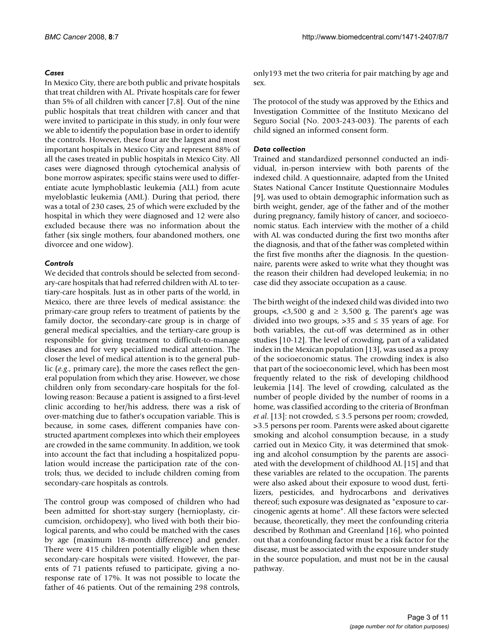# *Cases*

In Mexico City, there are both public and private hospitals that treat children with AL. Private hospitals care for fewer than 5% of all children with cancer [7,8]. Out of the nine public hospitals that treat children with cancer and that were invited to participate in this study, in only four were we able to identify the population base in order to identify the controls. However, these four are the largest and most important hospitals in Mexico City and represent 88% of all the cases treated in public hospitals in Mexico City. All cases were diagnosed through cytochemical analysis of bone morrow aspirates; specific stains were used to differentiate acute lymphoblastic leukemia (ALL) from acute myeloblastic leukemia (AML). During that period, there was a total of 230 cases, 25 of which were excluded by the hospital in which they were diagnosed and 12 were also excluded because there was no information about the father (six single mothers, four abandoned mothers, one divorcee and one widow).

# *Controls*

We decided that controls should be selected from secondary-care hospitals that had referred children with AL to tertiary-care hospitals. Just as in other parts of the world, in Mexico, there are three levels of medical assistance: the primary-care group refers to treatment of patients by the family doctor, the secondary-care group is in charge of general medical specialties, and the tertiary-care group is responsible for giving treatment to difficult-to-manage diseases and for very specialized medical attention. The closer the level of medical attention is to the general public (*e.g*., primary care), the more the cases reflect the general population from which they arise. However, we chose children only from secondary-care hospitals for the following reason: Because a patient is assigned to a first-level clinic according to her/his address, there was a risk of over-matching due to father's occupation variable. This is because, in some cases, different companies have constructed apartment complexes into which their employees are crowded in the same community. In addition, we took into account the fact that including a hospitalized population would increase the participation rate of the controls; thus, we decided to include children coming from secondary-care hospitals as controls.

The control group was composed of children who had been admitted for short-stay surgery (hernioplasty, circumcision, orchidopexy), who lived with both their biological parents, and who could be matched with the cases by age (maximum 18-month difference) and gender. There were 415 children potentially eligible when these secondary-care hospitals were visited. However, the parents of 71 patients refused to participate, giving a noresponse rate of 17%. It was not possible to locate the father of 46 patients. Out of the remaining 298 controls,

only193 met the two criteria for pair matching by age and sex.

The protocol of the study was approved by the Ethics and Investigation Committee of the Instituto Mexicano del Seguro Social (No. 2003-243-003). The parents of each child signed an informed consent form.

# *Data collection*

Trained and standardized personnel conducted an individual, in-person interview with both parents of the indexed child. A questionnaire, adapted from the United States National Cancer Institute Questionnaire Modules [9], was used to obtain demographic information such as birth weight, gender, age of the father and of the mother during pregnancy, family history of cancer, and socioeconomic status. Each interview with the mother of a child with AL was conducted during the first two months after the diagnosis, and that of the father was completed within the first five months after the diagnosis. In the questionnaire, parents were asked to write what they thought was the reason their children had developed leukemia; in no case did they associate occupation as a cause.

The birth weight of the indexed child was divided into two groups, <3,500 g and  $\geq$  3,500 g. The parent's age was divided into two groups, > 35 and  $\leq$  35 years of age. For both variables, the cut-off was determined as in other studies [10-12]. The level of crowding, part of a validated index in the Mexican population [13], was used as a proxy of the socioeconomic status. The crowding index is also that part of the socioeconomic level, which has been most frequently related to the risk of developing childhood leukemia [14]. The level of crowding, calculated as the number of people divided by the number of rooms in a home, was classified according to the criteria of Bronfman *et al.* [13]: not crowded, ≤ 3.5 persons per room; crowded, >3.5 persons per room. Parents were asked about cigarette smoking and alcohol consumption because, in a study carried out in Mexico City, it was determined that smoking and alcohol consumption by the parents are associated with the development of childhood AL [15] and that these variables are related to the occupation. The parents were also asked about their exposure to wood dust, fertilizers, pesticides, and hydrocarbons and derivatives thereof; such exposure was designated as "exposure to carcinogenic agents at home". All these factors were selected because, theoretically, they meet the confounding criteria described by Rothman and Greenland [16], who pointed out that a confounding factor must be a risk factor for the disease, must be associated with the exposure under study in the source population, and must not be in the causal pathway.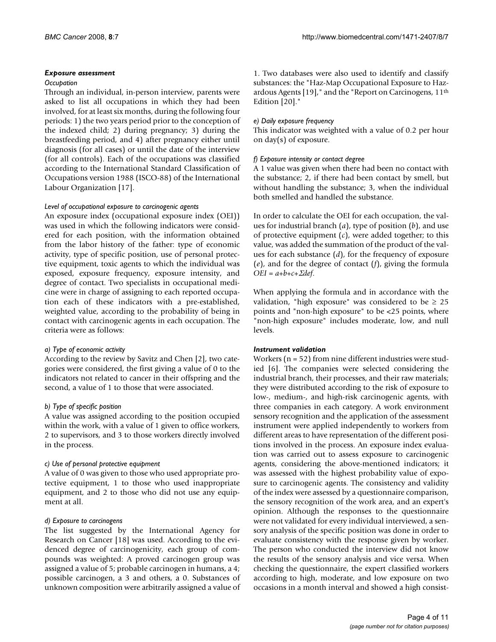#### *Exposure assessment*

#### *Occupation*

Through an individual, in-person interview, parents were asked to list all occupations in which they had been involved, for at least six months, during the following four periods: 1) the two years period prior to the conception of the indexed child; 2) during pregnancy; 3) during the breastfeeding period, and 4) after pregnancy either until diagnosis (for all cases) or until the date of the interview (for all controls). Each of the occupations was classified according to the International Standard Classification of Occupations version 1988 (ISCO-88) of the International Labour Organization [17].

#### *Level of occupational exposure to carcinogenic agents*

An exposure index (occupational exposure index (OEI)) was used in which the following indicators were considered for each position, with the information obtained from the labor history of the father: type of economic activity, type of specific position, use of personal protective equipment, toxic agents to which the individual was exposed, exposure frequency, exposure intensity, and degree of contact. Two specialists in occupational medicine were in charge of assigning to each reported occupation each of these indicators with a pre-established, weighted value, according to the probability of being in contact with carcinogenic agents in each occupation. The criteria were as follows:

# *a) Type of economic activity*

According to the review by Savitz and Chen [2], two categories were considered, the first giving a value of 0 to the indicators not related to cancer in their offspring and the second, a value of 1 to those that were associated.

# *b) Type of specific position*

A value was assigned according to the position occupied within the work, with a value of 1 given to office workers, 2 to supervisors, and 3 to those workers directly involved in the process.

# *c) Use of personal protective equipment*

A value of 0 was given to those who used appropriate protective equipment, 1 to those who used inappropriate equipment, and 2 to those who did not use any equipment at all.

# *d) Exposure to carcinogens*

The list suggested by the International Agency for Research on Cancer [18] was used. According to the evidenced degree of carcinogenicity, each group of compounds was weighted: A proved carcinogen group was assigned a value of 5; probable carcinogen in humans, a 4; possible carcinogen, a 3 and others, a 0. Substances of unknown composition were arbitrarily assigned a value of 1. Two databases were also used to identify and classify substances: the "Haz-Map Occupational Exposure to Hazardous Agents [19]," and the "Report on Carcinogens, 11th Edition [20]."

# *e) Daily exposure frequency*

This indicator was weighted with a value of 0.2 per hour on day(s) of exposure.

# *f) Exposure intensity or contact degree*

A 1 value was given when there had been no contact with the substance; 2, if there had been contact by smell, but without handling the substance; 3, when the individual both smelled and handled the substance.

In order to calculate the OEI for each occupation, the values for industrial branch (*a*), type of position (*b*), and use of protective equipment (*c*), were added together; to this value, was added the summation of the product of the values for each substance (*d*), for the frequency of exposure (*e*), and for the degree of contact (*f*), giving the formula *OEI = a+b+c+*Σ*def*.

When applying the formula and in accordance with the validation, "high exposure" was considered to be  $\geq 25$ points and "non-high exposure" to be <25 points, where "non-high exposure" includes moderate, low, and null levels.

# *Instrument validation*

Workers (n = 52) from nine different industries were studied [6]. The companies were selected considering the industrial branch, their processes, and their raw materials; they were distributed according to the risk of exposure to low-, medium-, and high-risk carcinogenic agents, with three companies in each category. A work environment sensory recognition and the application of the assessment instrument were applied independently to workers from different areas to have representation of the different positions involved in the process. An exposure index evaluation was carried out to assess exposure to carcinogenic agents, considering the above-mentioned indicators; it was assessed with the highest probability value of exposure to carcinogenic agents. The consistency and validity of the index were assessed by a questionnaire comparison, the sensory recognition of the work area, and an expert's opinion. Although the responses to the questionnaire were not validated for every individual interviewed, a sensory analysis of the specific position was done in order to evaluate consistency with the response given by worker. The person who conducted the interview did not know the results of the sensory analysis and vice versa. When checking the questionnaire, the expert classified workers according to high, moderate, and low exposure on two occasions in a month interval and showed a high consist-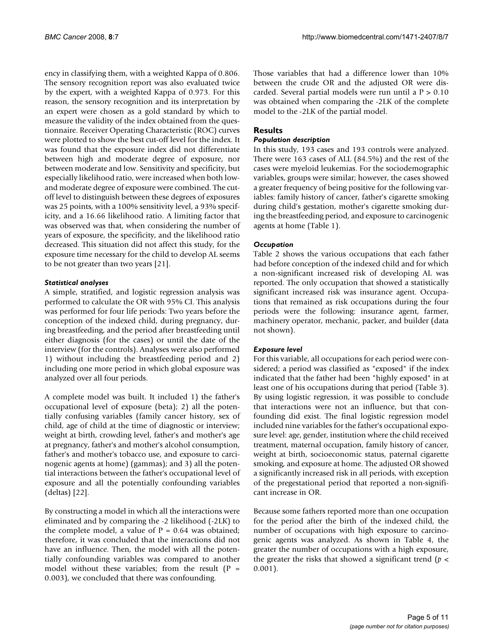ency in classifying them, with a weighted Kappa of 0.806. The sensory recognition report was also evaluated twice by the expert, with a weighted Kappa of 0.973. For this reason, the sensory recognition and its interpretation by an expert were chosen as a gold standard by which to measure the validity of the index obtained from the questionnaire. Receiver Operating Characteristic (ROC) curves were plotted to show the best cut-off level for the index. It was found that the exposure index did not differentiate between high and moderate degree of exposure, nor between moderate and low. Sensitivity and specificity, but especially likelihood ratio, were increased when both lowand moderate degree of exposure were combined. The cutoff level to distinguish between these degrees of exposures was 25 points, with a 100% sensitivity level, a 93% specificity, and a 16.66 likelihood ratio. A limiting factor that was observed was that, when considering the number of years of exposure, the specificity, and the likelihood ratio decreased. This situation did not affect this study, for the exposure time necessary for the child to develop AL seems to be not greater than two years [21].

#### *Statistical analyses*

A simple, stratified, and logistic regression analysis was performed to calculate the OR with 95% CI. This analysis was performed for four life periods: Two years before the conception of the indexed child, during pregnancy, during breastfeeding, and the period after breastfeeding until either diagnosis (for the cases) or until the date of the interview (for the controls). Analyses were also performed 1) without including the breastfeeding period and 2) including one more period in which global exposure was analyzed over all four periods.

A complete model was built. It included 1) the father's occupational level of exposure (beta); 2) all the potentially confusing variables (family cancer history, sex of child, age of child at the time of diagnostic or interview; weight at birth, crowding level, father's and mother's age at pregnancy, father's and mother's alcohol consumption, father's and mother's tobacco use, and exposure to carcinogenic agents at home) (gammas); and 3) all the potential interactions between the father's occupational level of exposure and all the potentially confounding variables (deltas) [22].

By constructing a model in which all the interactions were eliminated and by comparing the -2 likelihood (-2LK) to the complete model, a value of  $P = 0.64$  was obtained; therefore, it was concluded that the interactions did not have an influence. Then, the model with all the potentially confounding variables was compared to another model without these variables; from the result  $(P =$ 0.003), we concluded that there was confounding.

Those variables that had a difference lower than 10% between the crude OR and the adjusted OR were discarded. Several partial models were run until a P > 0.10 was obtained when comparing the -2LK of the complete model to the -2LK of the partial model.

# **Results**

#### *Population description*

In this study, 193 cases and 193 controls were analyzed. There were 163 cases of ALL (84.5%) and the rest of the cases were myeloid leukemias. For the sociodemographic variables, groups were similar; however, the cases showed a greater frequency of being positive for the following variables: family history of cancer, father's cigarette smoking during child's gestation, mother's cigarette smoking during the breastfeeding period, and exposure to carcinogenic agents at home (Table 1).

# *Occupation*

Table 2 shows the various occupations that each father had before conception of the indexed child and for which a non-significant increased risk of developing AL was reported. The only occupation that showed a statistically significant increased risk was insurance agent. Occupations that remained as risk occupations during the four periods were the following: insurance agent, farmer, machinery operator, mechanic, packer, and builder (data not shown).

# *Exposure level*

For this variable, all occupations for each period were considered; a period was classified as "exposed" if the index indicated that the father had been "highly exposed" in at least one of his occupations during that period (Table 3). By using logistic regression, it was possible to conclude that interactions were not an influence, but that confounding did exist. The final logistic regression model included nine variables for the father's occupational exposure level: age, gender, institution where the child received treatment, maternal occupation, family history of cancer, weight at birth, socioeconomic status, paternal cigarette smoking, and exposure at home. The adjusted OR showed a significantly increased risk in all periods, with exception of the pregestational period that reported a non-significant increase in OR.

Because some fathers reported more than one occupation for the period after the birth of the indexed child, the number of occupations with high exposure to carcinogenic agents was analyzed. As shown in Table 4, the greater the number of occupations with a high exposure, the greater the risks that showed a significant trend (*p* < 0.001).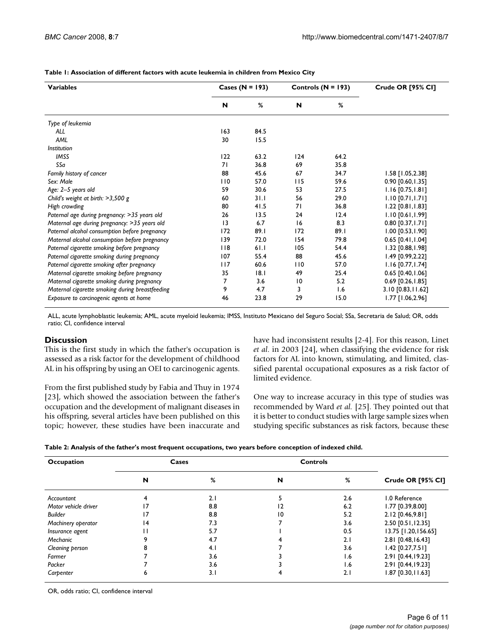| <b>Variables</b>                                | Cases ( $N = 193$ ) |      | Controls ( $N = 193$ ) |      | Crude OR [95% CI]   |
|-------------------------------------------------|---------------------|------|------------------------|------|---------------------|
|                                                 | N                   | %    | N                      | %    |                     |
| Type of leukemia                                |                     |      |                        |      |                     |
| <b>ALL</b>                                      | 163                 | 84.5 |                        |      |                     |
| AML                                             | 30                  | 15.5 |                        |      |                     |
| <b>Institution</b>                              |                     |      |                        |      |                     |
| <b>IMSS</b>                                     | 122                 | 63.2 | 124                    | 64.2 |                     |
| SSa                                             | 71                  | 36.8 | 69                     | 35.8 |                     |
| Family history of cancer                        | 88                  | 45.6 | 67                     | 34.7 | $1.58$ [1.05,2.38]  |
| Sex: Male                                       | 110                 | 57.0 | 115                    | 59.6 | 0.90 [0.60, 1.35]   |
| Age: 2-5 years old                              | 59                  | 30.6 | 53                     | 27.5 | $1.16$ [0.75, 1.81] |
| Child's weight at birth: $>3,500$ g             | 60                  | 31.1 | 56                     | 29.0 | $1.10$ [0.71, 1.71] |
| High crowding                                   | 80                  | 41.5 | 71                     | 36.8 | $1.22$ [0.81, 1.83] |
| Paternal age during pregnancy: >35 years old    | 26                  | 13.5 | 24                     | 12.4 | $1.10$ [0.61, 1.99] |
| Maternal age during pregnancy: >35 years old    | $\overline{13}$     | 6.7  | 16                     | 8.3  | 0.80 [0.37, 1.71]   |
| Paternal alcohol consumption before pregnancy   | 172                 | 89.1 | 172                    | 89.1 | 1.00 [0.53,1.90]    |
| Maternal alcohol consumption before pregnancy   | 139                 | 72.0 | 154                    | 79.8 | $0.65$ [0.41, 1.04] |
| Paternal cigarette smoking before pregnancy     | 118                 | 61.1 | 105                    | 54.4 | 1.32 [0.88, 1.98]   |
| Paternal cigarette smoking during pregnancy     | 107                 | 55.4 | 88                     | 45.6 | 1.49 [0.99, 2.22]   |
| Paternal cigarette smoking after pregnancy      | 117                 | 60.6 | 110                    | 57.0 | $1.16$ [0.77, 1.74] |
| Maternal cigarette smoking before pregnancy     | 35                  | 8.1  | 49                     | 25.4 | $0.65$ [0.40, 1.06] |
| Maternal cigarette smoking during pregnancy     | 7                   | 3.6  | $\overline{10}$        | 5.2  | 0.69 [0.26, 1.85]   |
| Maternal cigarette smoking during breastfeeding | 9                   | 4.7  | 3                      | 1.6  | 3.10 [0.83,11.62]   |
| Exposure to carcinogenic agents at home         | 46                  | 23.8 | 29                     | 15.0 | 1.77 [1.06,2.96]    |

**Table 1: Association of different factors with acute leukemia in children from Mexico City**

ALL, acute lymphoblastic leukemia; AML, acute myeloid leukemia; IMSS, Instituto Mexicano del Seguro Social; SSa, Secretaria de Salud; OR, odds ratio; CI, confidence interval

# **Discussion**

This is the first study in which the father's occupation is assessed as a risk factor for the development of childhood AL in his offspring by using an OEI to carcinogenic agents.

From the first published study by Fabia and Thuy in 1974 [23], which showed the association between the father's occupation and the development of malignant diseases in his offspring, several articles have been published on this topic; however, these studies have been inaccurate and have had inconsistent results [2-4]. For this reason, Linet *et al*. in 2003 [24], when classifying the evidence for risk factors for AL into known, stimulating, and limited, classified parental occupational exposures as a risk factor of limited evidence.

One way to increase accuracy in this type of studies was recommended by Ward *et al.* [25]. They pointed out that it is better to conduct studies with large sample sizes when studying specific substances as risk factors, because these

| Table 2: Analysis of the father's most frequent occupations, two years before conception of indexed child. |  |  |  |
|------------------------------------------------------------------------------------------------------------|--|--|--|
|------------------------------------------------------------------------------------------------------------|--|--|--|

| Occupation<br>Cases<br>N |    |     | <b>Controls</b> | Crude OR [95% CI] |                     |
|--------------------------|----|-----|-----------------|-------------------|---------------------|
|                          | %  | N   | %               |                   |                     |
| Accountant               | 4  | 2.1 |                 | 2.6               | 1.0 Reference       |
| Motor vehicle driver     | 17 | 8.8 | 12              | 6.2               | 1.77 [0.39,8.00]    |
| <b>Builder</b>           | 17 | 8.8 | 10              | 5.2               | 2.12 [0.46,9.81]    |
| Machinery operator       | 4  | 7.3 |                 | 3.6               | 2.50 [0.51,12.35]   |
| Insurance agent          | П  | 5.7 |                 | 0.5               | 13.75 [1.20,156.65] |
| Mechanic                 | 9  | 4.7 |                 | 2.1               | 2.81 [0.48,16.43]   |
| Cleaning person          |    | 4.1 |                 | 3.6               | $1.42$ [0.27,7.51]  |
| Farmer                   |    | 3.6 |                 | 1.6               | 2.91 [0.44, 19.23]  |
| Packer                   |    | 3.6 |                 | 1.6               | 2.91 [0.44, 19.23]  |
| Carpenter                | 6  | 3.1 |                 | 2.1               | 1.87 [0.30, 11.63]  |

OR, odds ratio; CI, confidence interval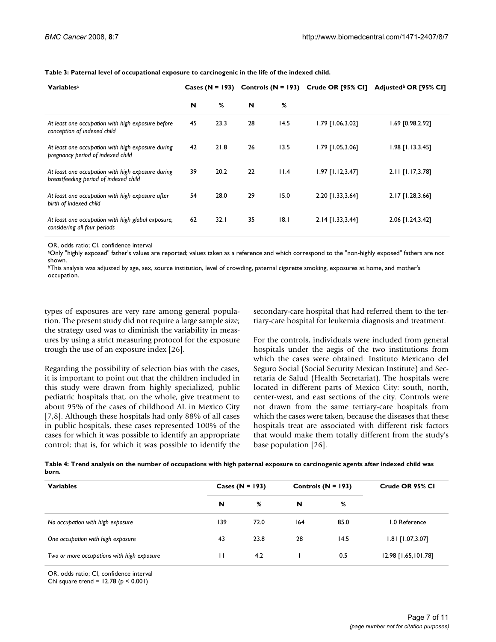| <b>Variables</b> <sup>a</sup>                                                              |    |      |    |      |                    | Cases (N = 193) Controls (N = 193) Crude OR [95% CI] Adjusted <sup>b</sup> OR [95% CI] |
|--------------------------------------------------------------------------------------------|----|------|----|------|--------------------|----------------------------------------------------------------------------------------|
|                                                                                            | N  | %    | N  | %    |                    |                                                                                        |
| At least one occupation with high exposure before<br>conception of indexed child           | 45 | 23.3 | 28 | 14.5 | 1.79 [1.06,3.02]   | 1.69 [0.98,2.92]                                                                       |
| At least one occupation with high exposure during<br>pregnancy period of indexed child     | 42 | 21.8 | 26 | 13.5 | $1.79$ [1.05,3.06] | 1.98 [1.13,3.45]                                                                       |
| At least one occupation with high exposure during<br>breastfeeding period of indexed child | 39 | 20.2 | 22 | 11.4 | $1.97$ [1.12,3.47] | $2.11$ [1.17,3.78]                                                                     |
| At least one occupation with high exposure after<br>birth of indexed child                 | 54 | 28.0 | 29 | 15.0 | 2.20 [1.33,3.64]   | 2.17 [1.28,3.66]                                                                       |
| At least one occupation with high global exposure,<br>considering all four periods         | 62 | 32.1 | 35 | 8.1  | 2.14 [1.33,3.44]   | 2.06 [1.24,3.42]                                                                       |

#### **Table 3: Paternal level of occupational exposure to carcinogenic in the life of the indexed child.**

OR, odds ratio; CI, confidence interval

aOnly "highly exposed" father's values are reported; values taken as a reference and which correspond to the "non-highly exposed" fathers are not shown.

<sup>b</sup>This analysis was adjusted by age, sex, source institution, level of crowding, paternal cigarette smoking, exposures at home, and mother's occupation.

types of exposures are very rare among general population. The present study did not require a large sample size; the strategy used was to diminish the variability in measures by using a strict measuring protocol for the exposure trough the use of an exposure index [26].

Regarding the possibility of selection bias with the cases, it is important to point out that the children included in this study were drawn from highly specialized, public pediatric hospitals that, on the whole, give treatment to about 95% of the cases of childhood AL in Mexico City [7,8]. Although these hospitals had only 88% of all cases in public hospitals, these cases represented 100% of the cases for which it was possible to identify an appropriate control; that is, for which it was possible to identify the secondary-care hospital that had referred them to the tertiary-care hospital for leukemia diagnosis and treatment.

For the controls, individuals were included from general hospitals under the aegis of the two institutions from which the cases were obtained: Instituto Mexicano del Seguro Social (Social Security Mexican Institute) and Secretaria de Salud (Health Secretariat). The hospitals were located in different parts of Mexico City: south, north, center-west, and east sections of the city. Controls were not drawn from the same tertiary-care hospitals from which the cases were taken, because the diseases that these hospitals treat are associated with different risk factors that would make them totally different from the study's base population [26].

| Table 4: Trend analysis on the number of occupations with high paternal exposure to carcinogenic agents after indexed child was |  |  |
|---------------------------------------------------------------------------------------------------------------------------------|--|--|
| born.                                                                                                                           |  |  |

| <b>Variables</b>                           | Cases ( $N = 193$ ) |      | Controls $(N = 193)$ |      | Crude OR 95% CI      |
|--------------------------------------------|---------------------|------|----------------------|------|----------------------|
|                                            | N                   | %    | N                    | %    |                      |
| No occupation with high exposure           | 139                 | 72.0 | 164                  | 85.0 | 1.0 Reference        |
| One occupation with high exposure          | 43                  | 23.8 | 28                   | 14.5 | 1.81 [1.07,3.07]     |
| Two or more occupations with high exposure | П                   | 4.2  |                      | 0.5  | 12.98 [1.65, 101.78] |

OR, odds ratio; CI, confidence interval

Chi square trend =  $12.78$  ( $p < 0.001$ )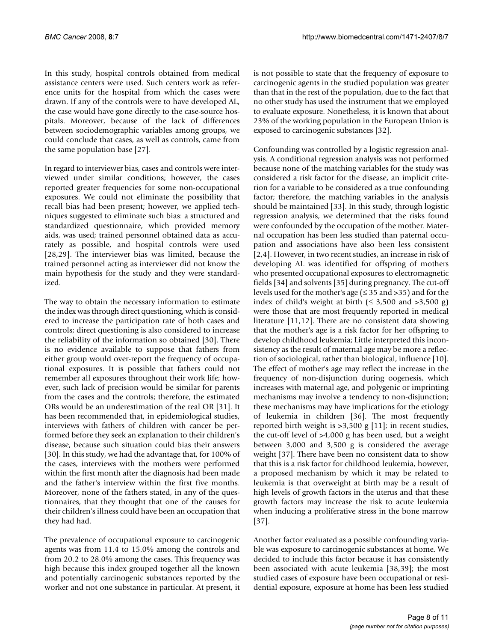In this study, hospital controls obtained from medical assistance centers were used. Such centers work as reference units for the hospital from which the cases were drawn. If any of the controls were to have developed AL, the case would have gone directly to the case-source hospitals. Moreover, because of the lack of differences between sociodemographic variables among groups, we could conclude that cases, as well as controls, came from the same population base [27].

In regard to interviewer bias, cases and controls were interviewed under similar conditions; however, the cases reported greater frequencies for some non-occupational exposures. We could not eliminate the possibility that recall bias had been present; however, we applied techniques suggested to eliminate such bias: a structured and standardized questionnaire, which provided memory aids, was used; trained personnel obtained data as accurately as possible, and hospital controls were used [28,29]. The interviewer bias was limited, because the trained personnel acting as interviewer did not know the main hypothesis for the study and they were standardized.

The way to obtain the necessary information to estimate the index was through direct questioning, which is considered to increase the participation rate of both cases and controls; direct questioning is also considered to increase the reliability of the information so obtained [30]. There is no evidence available to suppose that fathers from either group would over-report the frequency of occupational exposures. It is possible that fathers could not remember all exposures throughout their work life; however, such lack of precision would be similar for parents from the cases and the controls; therefore, the estimated ORs would be an underestimation of the real OR [31]. It has been recommended that, in epidemiological studies, interviews with fathers of children with cancer be performed before they seek an explanation to their children's disease, because such situation could bias their answers [30]. In this study, we had the advantage that, for 100% of the cases, interviews with the mothers were performed within the first month after the diagnosis had been made and the father's interview within the first five months. Moreover, none of the fathers stated, in any of the questionnaires, that they thought that one of the causes for their children's illness could have been an occupation that they had had.

The prevalence of occupational exposure to carcinogenic agents was from 11.4 to 15.0% among the controls and from 20.2 to 28.0% among the cases. This frequency was high because this index grouped together all the known and potentially carcinogenic substances reported by the worker and not one substance in particular. At present, it

is not possible to state that the frequency of exposure to carcinogenic agents in the studied population was greater than that in the rest of the population, due to the fact that no other study has used the instrument that we employed to evaluate exposure. Nonetheless, it is known that about 23% of the working population in the European Union is exposed to carcinogenic substances [32].

Confounding was controlled by a logistic regression analysis. A conditional regression analysis was not performed because none of the matching variables for the study was considered a risk factor for the disease, an implicit criterion for a variable to be considered as a true confounding factor; therefore, the matching variables in the analysis should be maintained [33]. In this study, through logistic regression analysis, we determined that the risks found were confounded by the occupation of the mother. Maternal occupation has been less studied than paternal occupation and associations have also been less consistent [2,4]. However, in two recent studies, an increase in risk of developing AL was identified for offspring of mothers who presented occupational exposures to electromagnetic fields [34] and solvents [35] during pregnancy. The cut-off levels used for the mother's age ( $\leq$  35 and  $>$ 35) and for the index of child's weight at birth  $( \leq 3,500 \text{ and } >3,500 \text{ g} )$ were those that are most frequently reported in medical literature [11,12]. There are no consistent data showing that the mother's age is a risk factor for her offspring to develop childhood leukemia; Little interpreted this inconsistency as the result of maternal age may be more a reflection of sociological, rather than biological, influence [10]. The effect of mother's age may reflect the increase in the frequency of non-disjunction during oogenesis, which increases with maternal age, and polygenic or imprinting mechanisms may involve a tendency to non-disjunction; these mechanisms may have implications for the etiology of leukemia in children [36]. The most frequently reported birth weight is  $>3,500$  g [11]; in recent studies, the cut-off level of >4,000 g has been used, but a weight between 3,000 and 3,500 g is considered the average weight [37]. There have been no consistent data to show that this is a risk factor for childhood leukemia, however, a proposed mechanism by which it may be related to leukemia is that overweight at birth may be a result of high levels of growth factors in the uterus and that these growth factors may increase the risk to acute leukemia when inducing a proliferative stress in the bone marrow [37].

Another factor evaluated as a possible confounding variable was exposure to carcinogenic substances at home. We decided to include this factor because it has consistently been associated with acute leukemia [38,39]; the most studied cases of exposure have been occupational or residential exposure, exposure at home has been less studied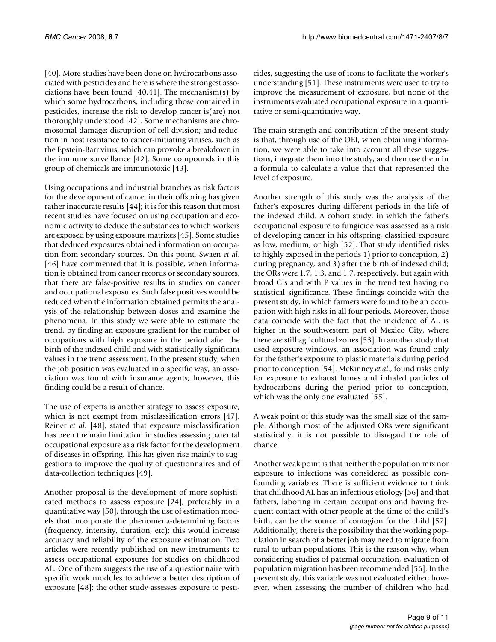[40]. More studies have been done on hydrocarbons associated with pesticides and here is where the strongest associations have been found [40,41]. The mechanism(s) by which some hydrocarbons, including those contained in pesticides, increase the risk to develop cancer is(are) not thoroughly understood [42]. Some mechanisms are chromosomal damage; disruption of cell division; and reduction in host resistance to cancer-initiating viruses, such as the Epstein-Barr virus, which can provoke a breakdown in the immune surveillance [42]. Some compounds in this group of chemicals are immunotoxic [43].

Using occupations and industrial branches as risk factors for the development of cancer in their offspring has given rather inaccurate results [44]; it is for this reason that most recent studies have focused on using occupation and economic activity to deduce the substances to which workers are exposed by using exposure matrixes [45]. Some studies that deduced exposures obtained information on occupation from secondary sources. On this point, Swaen *et al*. [46] have commented that it is possible, when information is obtained from cancer records or secondary sources, that there are false-positive results in studies on cancer and occupational exposures. Such false positives would be reduced when the information obtained permits the analysis of the relationship between doses and examine the phenomena. In this study we were able to estimate the trend, by finding an exposure gradient for the number of occupations with high exposure in the period after the birth of the indexed child and with statistically significant values in the trend assessment. In the present study, when the job position was evaluated in a specific way, an association was found with insurance agents; however, this finding could be a result of chance.

The use of experts is another strategy to assess exposure, which is not exempt from misclassification errors [47]. Reiner *et al.* [48], stated that exposure misclassification has been the main limitation in studies assessing parental occupational exposure as a risk factor for the development of diseases in offspring. This has given rise mainly to suggestions to improve the quality of questionnaires and of data-collection techniques [49].

Another proposal is the development of more sophisticated methods to assess exposure [24], preferably in a quantitative way [50], through the use of estimation models that incorporate the phenomena-determining factors (frequency, intensity, duration, etc); this would increase accuracy and reliability of the exposure estimation. Two articles were recently published on new instruments to assess occupational exposures for studies on childhood AL. One of them suggests the use of a questionnaire with specific work modules to achieve a better description of exposure [48]; the other study assesses exposure to pesticides, suggesting the use of icons to facilitate the worker's understanding [51]. These instruments were used to try to improve the measurement of exposure, but none of the instruments evaluated occupational exposure in a quantitative or semi-quantitative way.

The main strength and contribution of the present study is that, through use of the OEI, when obtaining information, we were able to take into account all these suggestions, integrate them into the study, and then use them in a formula to calculate a value that that represented the level of exposure.

Another strength of this study was the analysis of the father's exposures during different periods in the life of the indexed child. A cohort study, in which the father's occupational exposure to fungicide was assessed as a risk of developing cancer in his offspring, classified exposure as low, medium, or high [52]. That study identified risks to highly exposed in the periods 1) prior to conception, 2) during pregnancy, and 3) after the birth of indexed child; the ORs were 1.7, 1.3, and 1.7, respectively, but again with broad CIs and with P values in the trend test having no statistical significance. These findings coincide with the present study, in which farmers were found to be an occupation with high risks in all four periods. Moreover, those data coincide with the fact that the incidence of AL is higher in the southwestern part of Mexico City, where there are still agricultural zones [53]. In another study that used exposure windows, an association was found only for the father's exposure to plastic materials during period prior to conception [54]. McKinney *et al*., found risks only for exposure to exhaust fumes and inhaled particles of hydrocarbons during the period prior to conception, which was the only one evaluated [55].

A weak point of this study was the small size of the sample. Although most of the adjusted ORs were significant statistically, it is not possible to disregard the role of chance.

Another weak point is that neither the population mix nor exposure to infections was considered as possible confounding variables. There is sufficient evidence to think that childhood AL has an infectious etiology [56] and that fathers, laboring in certain occupations and having frequent contact with other people at the time of the child's birth, can be the source of contagion for the child [57]. Additionally, there is the possibility that the working population in search of a better job may need to migrate from rural to urban populations. This is the reason why, when considering studies of paternal occupation, evaluation of population migration has been recommended [56]. In the present study, this variable was not evaluated either; however, when assessing the number of children who had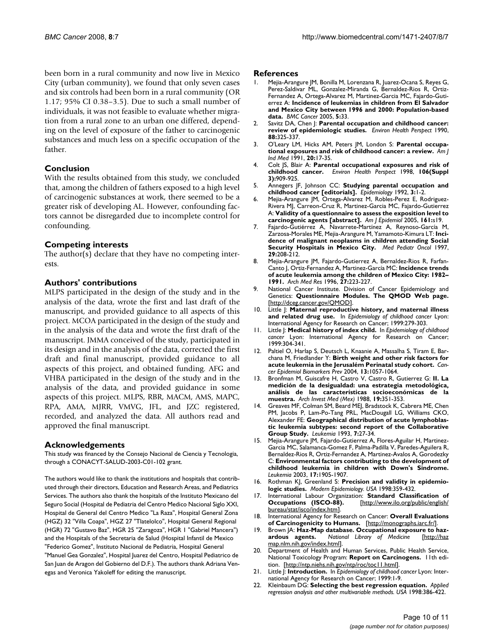been born in a rural community and now live in Mexico City (urban community), we found that only seven cases and six controls had been born in a rural community (OR 1.17; 95% CI 0.38–3.5). Due to such a small number of individuals, it was not feasible to evaluate whether migration from a rural zone to an urban one differed, depending on the level of exposure of the father to carcinogenic substances and much less on a specific occupation of the father.

# **Conclusion**

With the results obtained from this study, we concluded that, among the children of fathers exposed to a high level of carcinogenic substances at work, there seemed to be a greater risk of developing AL. However, confounding factors cannot be disregarded due to incomplete control for confounding.

# **Competing interests**

The author(s) declare that they have no competing interests.

# **Authors' contributions**

MLPS participated in the design of the study and in the analysis of the data, wrote the first and last draft of the manuscript, and provided guidance to all aspects of this project. MCOA participated in the design of the study and in the analysis of the data and wrote the first draft of the manuscript. JMMA conceived of the study, participated in its design and in the analysis of the data, corrected the first draft and final manuscript, provided guidance to all aspects of this project, and obtained funding. AFG and VHBA participated in the design of the study and in the analysis of the data, and provided guidance in some aspects of this project. MLPS, RBR, MACM, AMS, MAPC, RPA, AMA, MJRR, VMVG, JFL, and JZC registered, recorded, and analyzed the data. All authors read and approved the final manuscript.

# **Acknowledgements**

This study was financed by the Consejo Nacional de Ciencia y Tecnologia, through a CONACYT-SALUD-2003-C01-102 grant.

The authors would like to thank the institutions and hospitals that contributed through their directors, Education and Research Areas, and Pediatrics Services. The authors also thank the hospitals of the Instituto Mexicano del Seguro Social (Hospital de Pediatria del Centro Medico Nacional Siglo XXI, Hospital de General del Centro Medico "La Raza", Hospital General Zona (HGZ) 32 "Villa Coapa", HGZ 27 "Tlatelolco", Hospital General Regional (HGR) 72 "Gustavo Baz", HGR 25 "Zaragoza", HGR 1 "Gabriel Mancera") and the Hospitals of the Secretaria de Salud (Hospital Infantil de Mexico "Federico Gomez", Instituto Nacional de Pediatria, Hospital General "Manuel Gea Gonzalez", Hospital Juarez del Centro, Hospital Pediatrico de San Juan de Aragon del Gobierno del D.F.). The authors thank Adriana Venegas and Veronica Yakoleff for editing the manuscript.

#### **References**

- 1. Mejia-Arangure JM, Bonilla M, Lorenzana R, Juarez-Ocana S, Reyes G, Perez-Saldivar ML, Gonzalez-Miranda G, Bernaldez-Rios R, Ortiz-Fernandez A, Ortega-Alvarez M, Martinez-Garcia MC, Fajardo-Gutierrez A: **[Incidence of leukemias in children from El Salvador](http://www.ncbi.nlm.nih.gov/entrez/query.fcgi?cmd=Retrieve&db=PubMed&dopt=Abstract&list_uids=15807901) [and Mexico City between 1996 and 2000: Population-based](http://www.ncbi.nlm.nih.gov/entrez/query.fcgi?cmd=Retrieve&db=PubMed&dopt=Abstract&list_uids=15807901) [data.](http://www.ncbi.nlm.nih.gov/entrez/query.fcgi?cmd=Retrieve&db=PubMed&dopt=Abstract&list_uids=15807901)** *BMC Cancer* 2005, **5:**33.
- Savitz DA, Chen J: **[Parental occupation and childhood cancer:](http://www.ncbi.nlm.nih.gov/entrez/query.fcgi?cmd=Retrieve&db=PubMed&dopt=Abstract&list_uids=2272330) [review of epidemiologic studies.](http://www.ncbi.nlm.nih.gov/entrez/query.fcgi?cmd=Retrieve&db=PubMed&dopt=Abstract&list_uids=2272330)** *Environ Health Perspect* 1990, **88:**325-337.
- 3. O'Leary LM, Hicks AM, Peters JM, London S: **[Parental occupa](http://www.ncbi.nlm.nih.gov/entrez/query.fcgi?cmd=Retrieve&db=PubMed&dopt=Abstract&list_uids=1867215)[tional exposures and risk of childhood cancer: a review.](http://www.ncbi.nlm.nih.gov/entrez/query.fcgi?cmd=Retrieve&db=PubMed&dopt=Abstract&list_uids=1867215)** *Am J Ind Med* 1991, **20:**17-35.
- 4. Colt JS, Blair A: **[Parental occupational exposures and risk of](http://www.ncbi.nlm.nih.gov/entrez/query.fcgi?cmd=Retrieve&db=PubMed&dopt=Abstract&list_uids=9646055) [childhood cancer.](http://www.ncbi.nlm.nih.gov/entrez/query.fcgi?cmd=Retrieve&db=PubMed&dopt=Abstract&list_uids=9646055)** *Environ Health Perspect* 1998, **106(Suppl 3):**909-925.
- 5. Annegers JF, Johnson CC: **[Studying parental occupation and](http://www.ncbi.nlm.nih.gov/entrez/query.fcgi?cmd=Retrieve&db=PubMed&dopt=Abstract&list_uids=1554803) [childhood cancer \[editorials\].](http://www.ncbi.nlm.nih.gov/entrez/query.fcgi?cmd=Retrieve&db=PubMed&dopt=Abstract&list_uids=1554803)** *Epidemiology* 1992, **3:**1-2.
- 6. Mejia-Arangure JM, Ortega-Alvarez M, Robles-Perez E, Rodriguez-Rivera MJ, Carreon-Cruz R, Martinez-Garcia MC, Fajardo-Gutierrez A: **Validity of a questionnaire to assess the exposition level to carcinogenic agents [abstract].** *Am J Epidemiol* 2005, **161:**s19.
- 7. Fajardo-Gutiérrez A, Navarrete-Martínez A, Reynoso-García M, Zarzosa-Morales ME, Mejia-Arangure M, Yamamoto-Kimura LT: **[Inci](http://www.ncbi.nlm.nih.gov/entrez/query.fcgi?cmd=Retrieve&db=PubMed&dopt=Abstract&list_uids=9212846)[dence of malignant neoplasms in children attending Social](http://www.ncbi.nlm.nih.gov/entrez/query.fcgi?cmd=Retrieve&db=PubMed&dopt=Abstract&list_uids=9212846) [Security Hospitals in Mexico City.](http://www.ncbi.nlm.nih.gov/entrez/query.fcgi?cmd=Retrieve&db=PubMed&dopt=Abstract&list_uids=9212846)** *Med Pediatr Oncol* 1997, **29:**208-212.
- 8. Mejia-Arangure JM, Fajardo-Gutierrez A, Bernaldez-Rios R, Farfan-Canto J, Ortiz-Fernandez A, Martinez-García MC: **[Incidence trends](http://www.ncbi.nlm.nih.gov/entrez/query.fcgi?cmd=Retrieve&db=PubMed&dopt=Abstract&list_uids=8696068) [of acute leukemia among the children of Mexico City: 1982–](http://www.ncbi.nlm.nih.gov/entrez/query.fcgi?cmd=Retrieve&db=PubMed&dopt=Abstract&list_uids=8696068) [1991.](http://www.ncbi.nlm.nih.gov/entrez/query.fcgi?cmd=Retrieve&db=PubMed&dopt=Abstract&list_uids=8696068)** *Arch Med Res* 1996, **27:**223-227.
- 9. National Cancer Institute. Division of Cancer Epidemiology and Genetics: Questionnaire Modules. The QMOD Web page. [<http://dceg.cancer.gov/QMOD>].
- 10. Little J: **Maternal reproductive history, and maternal illness and related drug use.** In *Epidemiology of childhood cancer* Lyon: International Agency for Research on Cancer; 1999:279-303.
- 11. Little J: **Medical history of index child.** In *Epidemiology of childhood cancer* Lyon: International Agency for Research on Cancer; 1999:304-341.
- 12. Paltiel O, Harlap S, Deutsch L, Knaanie A, Massalha S, Tiram E, Barchana M, Friedlander Y: **[Birth weight and other risk factors for](http://www.ncbi.nlm.nih.gov/entrez/query.fcgi?cmd=Retrieve&db=PubMed&dopt=Abstract&list_uids=15184264) [acute leukemia in the Jerusalém Perinatal study cohort.](http://www.ncbi.nlm.nih.gov/entrez/query.fcgi?cmd=Retrieve&db=PubMed&dopt=Abstract&list_uids=15184264)** *Cancer Epidemiol Biomarkers Prev* 2004, **13:**1057-1064.
- 13. Bronfman M, Guiscafre H, Castro V, Castro R, Gutierrez G: **[II. La](http://www.ncbi.nlm.nih.gov/entrez/query.fcgi?cmd=Retrieve&db=PubMed&dopt=Abstract&list_uids=3245751) medición de la desigualdad: una estrategia metodológica, [análisis de las características socioeconómicas de la](http://www.ncbi.nlm.nih.gov/entrez/query.fcgi?cmd=Retrieve&db=PubMed&dopt=Abstract&list_uids=3245751) [muestra.](http://www.ncbi.nlm.nih.gov/entrez/query.fcgi?cmd=Retrieve&db=PubMed&dopt=Abstract&list_uids=3245751)** *Arch Invest Med (Mex)* 1988, **19:**351-353.
- Greaves MF, Colman SM, Beard MEJ, Bradstock K, Cabrera ME, Chen PM, Jacobs P, Lam-Po-Tang PRL, MacDougall LG, Williams CKO, Alexander FE: **[Geographical distribution of acute lymphoblas](http://www.ncbi.nlm.nih.gov/entrez/query.fcgi?cmd=Retrieve&db=PubMed&dopt=Abstract&list_uids=8418376)[tic leukemia subtypes: second report of the Collaborative](http://www.ncbi.nlm.nih.gov/entrez/query.fcgi?cmd=Retrieve&db=PubMed&dopt=Abstract&list_uids=8418376) [Group Study.](http://www.ncbi.nlm.nih.gov/entrez/query.fcgi?cmd=Retrieve&db=PubMed&dopt=Abstract&list_uids=8418376)** *Leukemia* 1993, **7:**27-34.
- 15. Mejia-Arangure JM, Fajardo-Gutierrez A, Flores-Aguilar H, Martinez-Garcia MC, Salamanca-Gomez F, Palma-Padilla V, Paredes-Aguilera R, Bernaldez-Rios R, Ortiz-Fernandez A, Martinez-Avalos A, Gorodezky C: **[Environmental factors contributing to the development of](http://www.ncbi.nlm.nih.gov/entrez/query.fcgi?cmd=Retrieve&db=PubMed&dopt=Abstract&list_uids=12970794) [childhood leukemia in children with Down's Sindrome.](http://www.ncbi.nlm.nih.gov/entrez/query.fcgi?cmd=Retrieve&db=PubMed&dopt=Abstract&list_uids=12970794)** *Leukemia* 2003, **17:**1905-1907.
- 16. Rothman KJ, Greenland S: **Precision and validity in epidemiologic studies.** *Modern Epidemiology. USA* 1998:359-432.
- 17. International Labour Organization: **Standard Classification of Occupations (ISCO-88).** [http://www.ilo.org/public/english/ [\[http://www.ilo.org/public/english/](http://www.ilo.org/public/english/bureau/stat/isco/index.htm) [bureau/stat/isco/index.htm](http://www.ilo.org/public/english/bureau/stat/isco/index.htm)].
- 18. International Agency for Research on Cancer: **Overall Evaluations of Carcinogenicity to Humans.** [\[http://monographs.iarc.fr/\]](http://monographs.iarc.fr/).
- 19. Brown JA: **Haz-Map database. Occupational exposure to haz-<br>ardous agents. National Library of Medicine [http://haz ardous agents.** *National Library of Medicine* [[http://haz](http://hazmap.nlm.nih.gov/index.html) [map.nlm.nih.gov/index.html](http://hazmap.nlm.nih.gov/index.html)].
- 20. Department of Health and Human Services, Public Health Service, National Toxicology Program: **Report on Carcinogens.** 11th edition. [<http://ntp.niehs.nih.gov/ntp/roc/toc11.html>].
- 21. Little J: **Introduction.** In *Epidemiology of childhood cancer* Lyon: International Agency for Research on Cancer; 1999:1-9.
- 22. Kleinbaum DG: **Selecting the best regression equation.** *Applied regression analysis and other multivariable methods. USA* 1998:386-422.